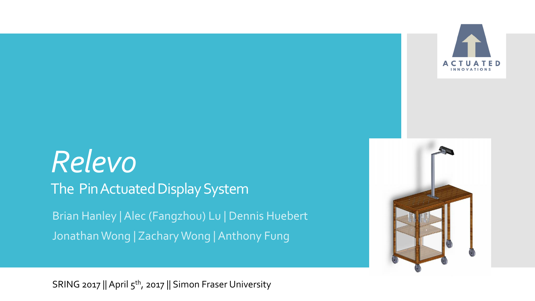

# *Relevo* The Pin Actuated Display System Brian Hanley | Alec (Fangzhou) Lu | Dennis Huebert Jonathan Wong | Zachary Wong | Anthony Fung



SRING 2017 || April 5<sup>th</sup>, 2017 || Simon Fraser University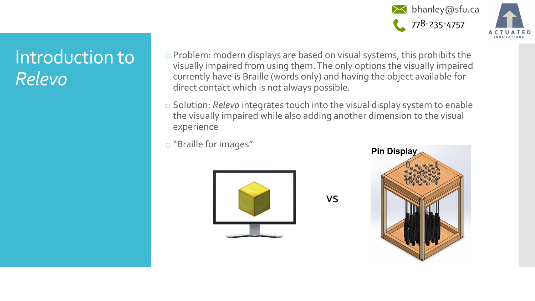



### Introduction to *Relevo*

- o Problem: modern displays are based on visual systems, this prohibits the visually impaired from using them. The only options the visually impaired currently have is Braille (words only) and having the object available for direct contact which is not always possible.
- o Solution: *Relevo* integrates touch into the visual display system to enable the visually impaired while also adding another dimension to the visual experience

**VS**

o "Braille for images"



**Pin Display**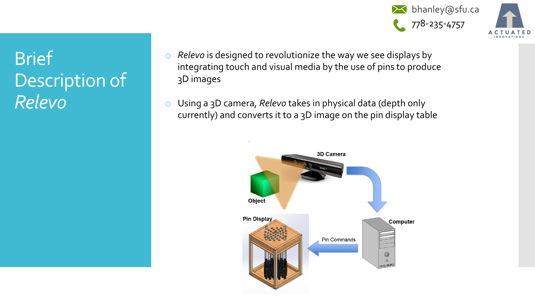**X** bhanley@sfu.ca 778-235-4757



## **Brief** Description of *Relevo*

- o *Relevo* is designed to revolutionize the way we see displays by integrating touch and visual media by the use of pins to produce 3D images
- o Using a 3D camera, *Relevo* takes in physical data (depth only currently) and converts it to a 3D image on the pin display table

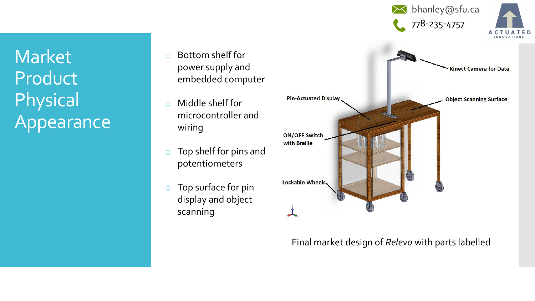**X** bhanley@sfu.ca 778-235-4757



Market **Product** Physical Appearance

- o Bottom shelf for power supply and embedded computer
- o Middle shelf for microcontroller and wiring
- o Top shelf for pins and potentiometers
- o Top surface for pin display and object scanning



### Final market design of *Relevo* with parts labelled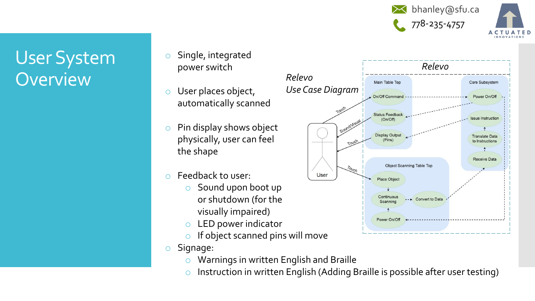



### User System **Overview**

- o Single, integrated power switch
- o User places object, automatically scanned
- o Pin display shows object physically, user can feel the shape
- o Feedback to user:
	- o Sound upon boot up or shutdown (for the visually impaired)
	- o LED power indicator
	- $\circ$  If object scanned pins will move
- o Signage:
	- o Warnings in written English and Braille
	- $\circ$  Instruction in written English (Adding Braille is possible after user testing)

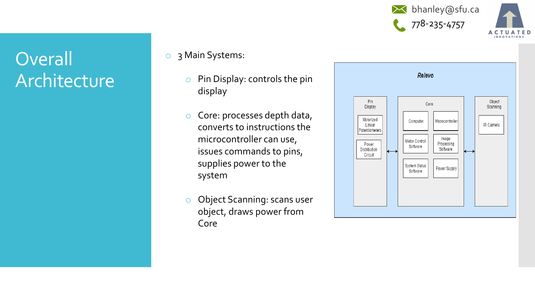



### **Overall** Architecture

- o 3 Main Systems:
	- o Pin Display: controls the pin display
	- o Core: processes depth data, converts to instructions the microcontroller can use, issues commands to pins, supplies power to the system
	- o Object Scanning: scans user object, draws power from Core

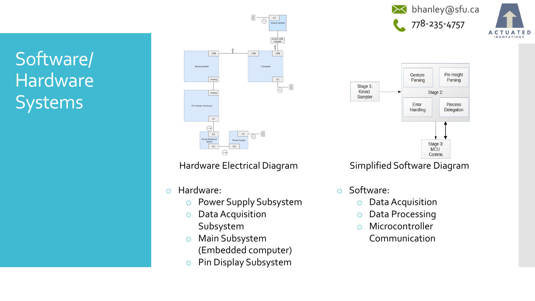Software/ Hardware **Systems** 



- o Hardware:
	- o Power Supply Subsystem
	- o Data Acquisition Subsystem
	- o Main Subsystem (Embedded computer)
	- o Pin Display Subsystem



**UATED** 

Hardware Electrical Diagram Simplified Software Diagram

- o Software:
	- Data Acquisition
	- o Data Processing
	- o Microcontroller
		- Communication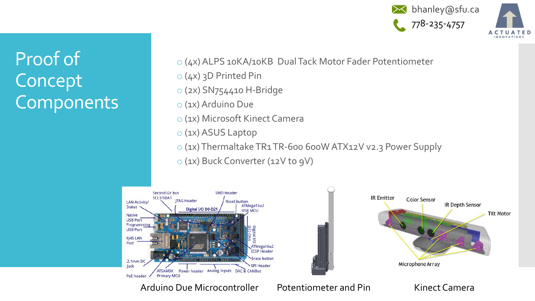



- o (2x) SN754410 H-Bridge
- o (1x) Arduino Due
- o (1x) Microsoft Kinect Camera
- o (1x) ASUS Laptop
- o (1x) Thermaltake TR1 TR-600 600W ATX12V v2.3 Power Supply
- o (1x) Buck Converter (12V to 9V)





Arduino Due Microcontroller Potentiometer and Pin Kinect Camera

### Proof of Concept Components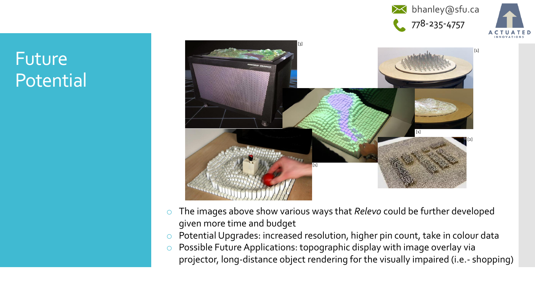



### Future Potential



- o The images above show various ways that *Relevo* could be further developed given more time and budget
- o Potential Upgrades: increased resolution, higher pin count, take in colour data
- o Possible Future Applications: topographic display with image overlay via projector, long-distance object rendering for the visually impaired (i.e.- shopping)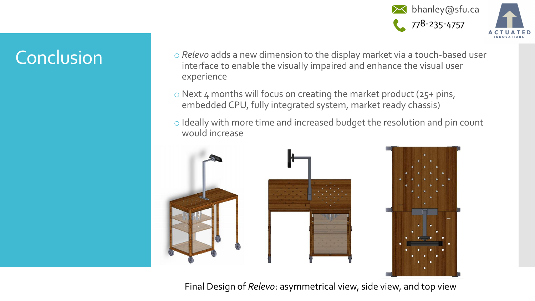

- Conclusion **o** *Relevo* adds a new dimension to the display market via a touch-based user interface to enable the visually impaired and enhance the visual user experience
	- $\circ$  Next 4 months will focus on creating the market product (25+ pins, embedded CPU, fully integrated system, market ready chassis)
	- o Ideally with more time and increased budget the resolution and pin count would increase



Final Design of *Relevo*: asymmetrical view, side view, and top view